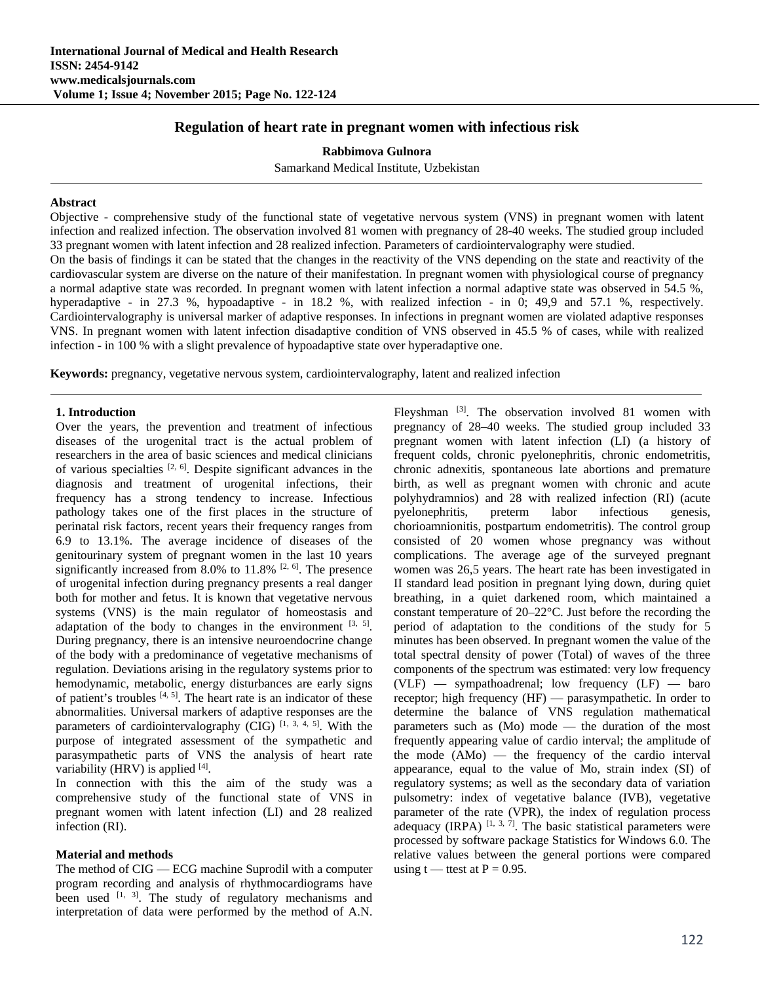# **Regulation of heart rate in pregnant women with infectious risk**

**Rabbimova Gulnora**  Samarkand Medical Institute, Uzbekistan

### **Abstract**

Objective - comprehensive study of the functional state of vegetative nervous system (VNS) in pregnant women with latent infection and realized infection. The observation involved 81 women with pregnancy of 28-40 weeks. The studied group included 33 pregnant women with latent infection and 28 realized infection. Parameters of cardiointervalography were studied.

On the basis of findings it can be stated that the changes in the reactivity of the VNS depending on the state and reactivity of the cardiovascular system are diverse on the nature of their manifestation. In pregnant women with physiological course of pregnancy a normal adaptive state was recorded. In pregnant women with latent infection a normal adaptive state was observed in 54.5 %, hyperadaptive - in 27.3 %, hypoadaptive - in 18.2 %, with realized infection - in 0; 49,9 and 57.1 %, respectively. Cardiointervalography is universal marker of adaptive responses. In infections in pregnant women are violated adaptive responses VNS. In pregnant women with latent infection disadaptive condition of VNS observed in 45.5 % of cases, while with realized infection - in 100 % with a slight prevalence of hypoadaptive state over hyperadaptive one.

**Keywords:** pregnancy, vegetative nervous system, cardiointervalography, latent and realized infection

### **1. Introduction**

Over the years, the prevention and treatment of infectious diseases of the urogenital tract is the actual problem of researchers in the area of basic sciences and medical clinicians of various specialties  $[2, 6]$ . Despite significant advances in the diagnosis and treatment of urogenital infections, their frequency has a strong tendency to increase. Infectious pathology takes one of the first places in the structure of perinatal risk factors, recent years their frequency ranges from 6.9 to 13.1%. The average incidence of diseases of the genitourinary system of pregnant women in the last 10 years significantly increased from 8.0% to 11.8%  $[2, 6]$ . The presence of urogenital infection during pregnancy presents a real danger both for mother and fetus. It is known that vegetative nervous systems (VNS) is the main regulator of homeostasis and adaptation of the body to changes in the environment  $[3, 5]$ . During pregnancy, there is an intensive neuroendocrine change of the body with a predominance of vegetative mechanisms of regulation. Deviations arising in the regulatory systems prior to hemodynamic, metabolic, energy disturbances are early signs of patient's troubles  $[4, 5]$ . The heart rate is an indicator of these abnormalities. Universal markers of adaptive responses are the parameters of cardiointervalography (CIG)  $[1, 3, 4, 5]$ . With the purpose of integrated assessment of the sympathetic and parasympathetic parts of VNS the analysis of heart rate variability (HRV) is applied  $[4]$ .

In connection with this the aim of the study was a comprehensive study of the functional state of VNS in pregnant women with latent infection (LI) and 28 realized infection (RI).

#### **Material and methods**

The method of CIG — ECG machine Suprodil with a computer program recording and analysis of rhythmocardiograms have been used  $^{[1, 3]}$ . The study of regulatory mechanisms and interpretation of data were performed by the method of A.N.

Fleyshman <sup>[3]</sup>. The observation involved 81 women with pregnancy of 28–40 weeks. The studied group included 33 pregnant women with latent infection (LI) (a history of frequent colds, chronic pyelonephritis, chronic endometritis, chronic adnexitis, spontaneous late abortions and premature birth, as well as pregnant women with chronic and acute polyhydramnios) and 28 with realized infection (RI) (acute pyelonephritis, preterm labor infectious genesis, chorioamnionitis, postpartum endometritis). The control group consisted of 20 women whose pregnancy was without complications. The average age of the surveyed pregnant women was 26,5 years. The heart rate has been investigated in II standard lead position in pregnant lying down, during quiet breathing, in a quiet darkened room, which maintained a constant temperature of 20–22°C. Just before the recording the period of adaptation to the conditions of the study for 5 minutes has been observed. In pregnant women the value of the total spectral density of power (Total) of waves of the three components of the spectrum was estimated: very low frequency  $(VLF)$  — sympathoadrenal; low frequency  $(LF)$  — baro receptor; high frequency (HF) — parasympathetic. In order to determine the balance of VNS regulation mathematical parameters such as (Mo) mode — the duration of the most frequently appearing value of cardio interval; the amplitude of the mode (AMo) — the frequency of the cardio interval appearance, equal to the value of Mo, strain index (SI) of regulatory systems; as well as the secondary data of variation pulsometry: index of vegetative balance (IVB), vegetative parameter of the rate (VPR), the index of regulation process adequacy (IRPA)  $[1, 3, 7]$ . The basic statistical parameters were processed by software package Statistics for Windows 6.0. The relative values between the general portions were compared using t — ttest at  $P = 0.95$ .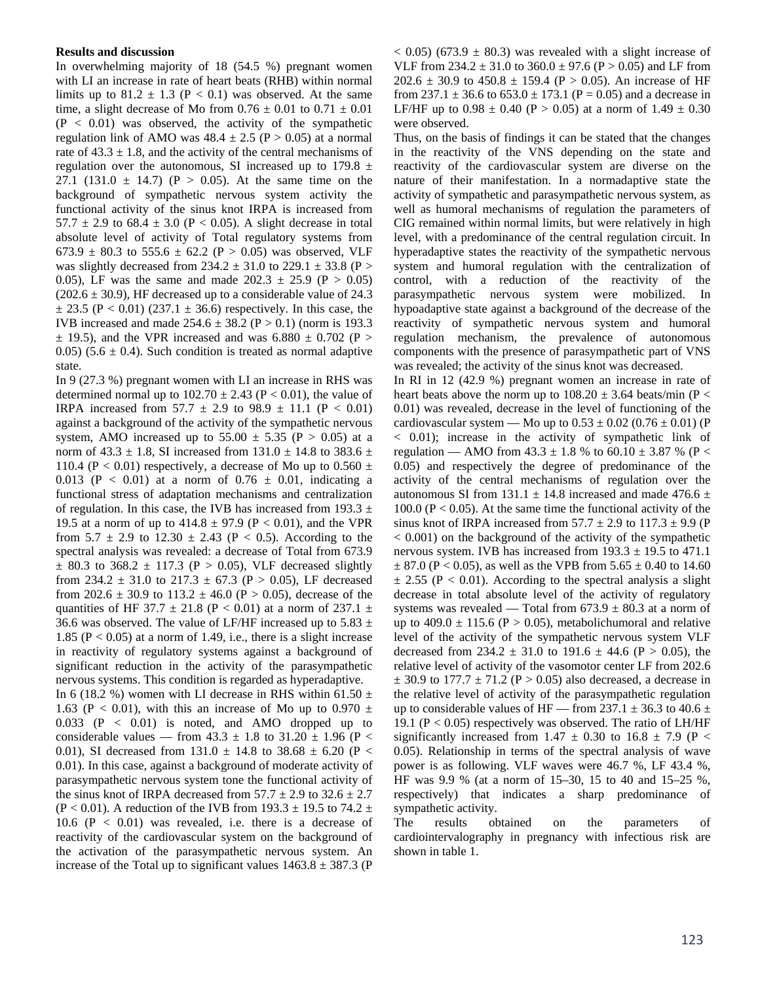#### **Results and discussion**

In overwhelming majority of 18 (54.5 %) pregnant women with LI an increase in rate of heart beats (RHB) within normal limits up to  $81.2 \pm 1.3$  (P < 0.1) was observed. At the same time, a slight decrease of Mo from  $0.76 \pm 0.01$  to  $0.71 \pm 0.01$  $(P < 0.01)$  was observed, the activity of the sympathetic regulation link of AMO was  $48.4 \pm 2.5$  (P > 0.05) at a normal rate of  $43.3 \pm 1.8$ , and the activity of the central mechanisms of regulation over the autonomous, SI increased up to  $179.8 \pm$ 27.1 (131.0  $\pm$  14.7) (P > 0.05). At the same time on the background of sympathetic nervous system activity the functional activity of the sinus knot IRPA is increased from 57.7  $\pm$  2.9 to 68.4  $\pm$  3.0 (P < 0.05). A slight decrease in total absolute level of activity of Total regulatory systems from 673.9  $\pm$  80.3 to 555.6  $\pm$  62.2 (P > 0.05) was observed, VLF was slightly decreased from 234.2  $\pm$  31.0 to 229.1  $\pm$  33.8 (P > 0.05), LF was the same and made  $202.3 \pm 25.9$  (P > 0.05)  $(202.6 \pm 30.9)$ , HF decreased up to a considerable value of 24.3  $\pm$  23.5 (P < 0.01) (237.1  $\pm$  36.6) respectively. In this case, the IVB increased and made  $254.6 \pm 38.2$  (P  $> 0.1$ ) (norm is 193.3  $\pm$  19.5), and the VPR increased and was 6.880  $\pm$  0.702 (P > 0.05) (5.6  $\pm$  0.4). Such condition is treated as normal adaptive state.

In 9 (27.3 %) pregnant women with LI an increase in RHS was determined normal up to  $102.70 \pm 2.43$  (P < 0.01), the value of IRPA increased from  $57.7 \pm 2.9$  to  $98.9 \pm 11.1$  (P < 0.01) against a background of the activity of the sympathetic nervous system, AMO increased up to  $55.00 \pm 5.35$  (P > 0.05) at a norm of 43.3  $\pm$  1.8, SI increased from 131.0  $\pm$  14.8 to 383.6  $\pm$ 110.4 (P < 0.01) respectively, a decrease of Mo up to  $0.560 \pm$ 0.013 (P < 0.01) at a norm of  $0.76 \pm 0.01$ , indicating a functional stress of adaptation mechanisms and centralization of regulation. In this case, the IVB has increased from  $193.3 \pm$ 19.5 at a norm of up to  $414.8 \pm 97.9$  (P < 0.01), and the VPR from  $5.7 \pm 2.9$  to  $12.30 \pm 2.43$  (P < 0.5). According to the spectral analysis was revealed: a decrease of Total from 673.9  $\pm$  80.3 to 368.2  $\pm$  117.3 (P > 0.05), VLF decreased slightly from 234.2  $\pm$  31.0 to 217.3  $\pm$  67.3 (P > 0.05), LF decreased from 202.6  $\pm$  30.9 to 113.2  $\pm$  46.0 (P > 0.05), decrease of the quantities of HF 37.7  $\pm$  21.8 (P < 0.01) at a norm of 237.1  $\pm$ 36.6 was observed. The value of LF/HF increased up to 5.83  $\pm$ 1.85 ( $P < 0.05$ ) at a norm of 1.49, i.e., there is a slight increase in reactivity of regulatory systems against a background of significant reduction in the activity of the parasympathetic nervous systems. This condition is regarded as hyperadaptive.

In 6 (18.2 %) women with LI decrease in RHS within 61.50  $\pm$ 1.63 (P < 0.01), with this an increase of Mo up to 0.970  $\pm$  $0.033$  (P <  $0.01$ ) is noted, and AMO dropped up to considerable values — from  $43.3 \pm 1.8$  to  $31.20 \pm 1.96$  (P < 0.01), SI decreased from 131.0  $\pm$  14.8 to 38.68  $\pm$  6.20 (P < 0.01). In this case, against a background of moderate activity of parasympathetic nervous system tone the functional activity of the sinus knot of IRPA decreased from  $57.7 \pm 2.9$  to  $32.6 \pm 2.7$  $(P < 0.01)$ . A reduction of the IVB from 193.3  $\pm$  19.5 to 74.2  $\pm$ 10.6 ( $P < 0.01$ ) was revealed, i.e. there is a decrease of reactivity of the cardiovascular system on the background of the activation of the parasympathetic nervous system. An increase of the Total up to significant values  $1463.8 \pm 387.3$  (P

 $(6.005)$  (673.9  $\pm$  80.3) was revealed with a slight increase of VLF from  $234.2 \pm 31.0$  to  $360.0 \pm 97.6$  (P  $> 0.05$ ) and LF from 202.6  $\pm$  30.9 to 450.8  $\pm$  159.4 (P > 0.05). An increase of HF from  $237.1 \pm 36.6$  to  $653.0 \pm 173.1$  (P = 0.05) and a decrease in LF/HF up to  $0.98 \pm 0.40$  (P > 0.05) at a norm of  $1.49 \pm 0.30$ were observed.

Thus, on the basis of findings it can be stated that the changes in the reactivity of the VNS depending on the state and reactivity of the cardiovascular system are diverse on the nature of their manifestation. In a normadaptive state the activity of sympathetic and parasympathetic nervous system, as well as humoral mechanisms of regulation the parameters of CIG remained within normal limits, but were relatively in high level, with a predominance of the central regulation circuit. In hyperadaptive states the reactivity of the sympathetic nervous system and humoral regulation with the centralization of control, with a reduction of the reactivity of the parasympathetic nervous system were mobilized. In hypoadaptive state against a background of the decrease of the reactivity of sympathetic nervous system and humoral regulation mechanism, the prevalence of autonomous components with the presence of parasympathetic part of VNS was revealed; the activity of the sinus knot was decreased.

In RI in 12 (42.9 %) pregnant women an increase in rate of heart beats above the norm up to  $108.20 \pm 3.64$  beats/min (P < 0.01) was revealed, decrease in the level of functioning of the cardiovascular system — Mo up to  $0.53 \pm 0.02$  (0.76  $\pm$  0.01) (P < 0.01); increase in the activity of sympathetic link of regulation — AMO from  $43.3 \pm 1.8$  % to  $60.10 \pm 3.87$  % (P < 0.05) and respectively the degree of predominance of the activity of the central mechanisms of regulation over the autonomous SI from 131.1  $\pm$  14.8 increased and made 476.6  $\pm$ 100.0 ( $P < 0.05$ ). At the same time the functional activity of the sinus knot of IRPA increased from  $57.7 \pm 2.9$  to  $117.3 \pm 9.9$  (P  $< 0.001$ ) on the background of the activity of the sympathetic nervous system. IVB has increased from  $193.3 \pm 19.5$  to 471.1  $\pm$  87.0 (P < 0.05), as well as the VPB from 5.65  $\pm$  0.40 to 14.60  $\pm$  2.55 (P < 0.01). According to the spectral analysis a slight decrease in total absolute level of the activity of regulatory systems was revealed — Total from  $673.9 \pm 80.3$  at a norm of up to  $409.0 \pm 115.6$  (P > 0.05), metabolichumoral and relative level of the activity of the sympathetic nervous system VLF decreased from  $234.2 \pm 31.0$  to  $191.6 \pm 44.6$  (P  $> 0.05$ ), the relative level of activity of the vasomotor center LF from 202.6  $\pm$  30.9 to 177.7  $\pm$  71.2 (P > 0.05) also decreased, a decrease in the relative level of activity of the parasympathetic regulation up to considerable values of HF — from 237.1  $\pm$  36.3 to 40.6  $\pm$ 19.1 ( $P < 0.05$ ) respectively was observed. The ratio of LH/HF significantly increased from 1.47  $\pm$  0.30 to 16.8  $\pm$  7.9 (P < 0.05). Relationship in terms of the spectral analysis of wave power is as following. VLF waves were 46.7 %, LF 43.4 %, HF was 9.9 % (at a norm of 15–30, 15 to 40 and 15–25 %, respectively) that indicates a sharp predominance of sympathetic activity.

The results obtained on the parameters of cardiointervalography in pregnancy with infectious risk are shown in table 1.